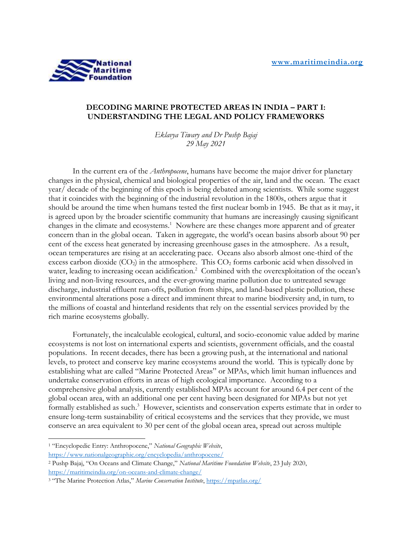

## **DECODING MARINE PROTECTED AREAS IN INDIA – PART I: UNDERSTANDING THE LEGAL AND POLICY FRAMEWORKS**

*Eklavya Tiwary and Dr Pushp Bajaj 29 May 2021*

In the current era of the *Anthropocene*, humans have become the major driver for planetary changes in the physical, chemical and biological properties of the air, land and the ocean. The exact year/ decade of the beginning of this epoch is being debated among scientists. While some suggest that it coincides with the beginning of the industrial revolution in the 1800s, others argue that it should be around the time when humans tested the first nuclear bomb in 1945. Be that as it may, it is agreed upon by the broader scientific community that humans are increasingly causing significant changes in the climate and ecosystems.<sup>1</sup> Nowhere are these changes more apparent and of greater concern than in the global ocean. Taken in aggregate, the world's ocean basins absorb about 90 per cent of the excess heat generated by increasing greenhouse gases in the atmosphere. As a result, ocean temperatures are rising at an accelerating pace. Oceans also absorb almost one-third of the excess carbon dioxide  $(CO_2)$  in the atmosphere. This  $CO_2$  forms carbonic acid when dissolved in water, leading to increasing ocean acidification.<sup>2</sup> Combined with the overexploitation of the ocean's living and non-living resources, and the ever-growing marine pollution due to untreated sewage discharge, industrial effluent run-offs, pollution from ships, and land-based plastic pollution, these environmental alterations pose a direct and imminent threat to marine biodiversity and, in turn, to the millions of coastal and hinterland residents that rely on the essential services provided by the rich marine ecosystems globally.

Fortunately, the incalculable ecological, cultural, and socio-economic value added by marine ecosystems is not lost on international experts and scientists, government officials, and the coastal populations. In recent decades, there has been a growing push, at the international and national levels, to protect and conserve key marine ecosystems around the world. This is typically done by establishing what are called "Marine Protected Areas" or MPAs, which limit human influences and undertake conservation efforts in areas of high ecological importance. According to a comprehensive global analysis, currently established MPAs account for around 6.4 per cent of the global ocean area, with an additional one per cent having been designated for MPAs but not yet formally established as such.<sup>3</sup> However, scientists and conservation experts estimate that in order to ensure long-term sustainability of critical ecosystems and the services that they provide, we must conserve an area equivalent to 30 per cent of the global ocean area, spread out across multiple

<sup>1</sup> "Encyclopedic Entry: Anthropocene," *National Geographic Website*,

<https://www.nationalgeographic.org/encyclopedia/anthropocene/>

<sup>2</sup> Pushp Bajaj, "On Oceans and Climate Change," *National Maritime Foundation Website*, 23 July 2020, <https://maritimeindia.org/on-oceans-and-climate-change/>

<sup>3</sup> "The Marine Protection Atlas," *Marine Conservation Institute*[, https://mpatlas.org/](https://mpatlas.org/)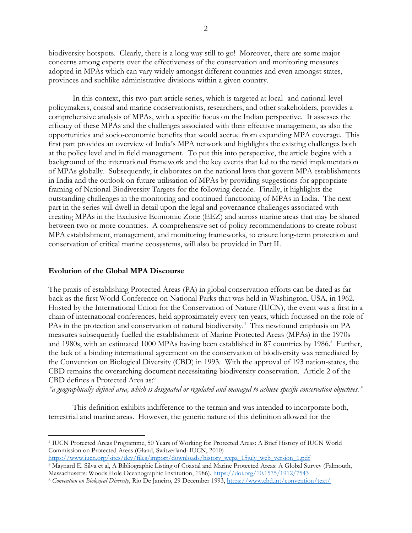biodiversity hotspots. Clearly, there is a long way still to go! Moreover, there are some major concerns among experts over the effectiveness of the conservation and monitoring measures adopted in MPAs which can vary widely amongst different countries and even amongst states, provinces and suchlike administrative divisions within a given country.

In this context, this two-part article series, which is targeted at local- and national-level policymakers, coastal and marine conservationists, researchers, and other stakeholders, provides a comprehensive analysis of MPAs, with a specific focus on the Indian perspective. It assesses the efficacy of these MPAs and the challenges associated with their effective management, as also the opportunities and socio-economic benefits that would accrue from expanding MPA coverage. This first part provides an overview of India's MPA network and highlights the existing challenges both at the policy level and in field management. To put this into perspective, the article begins with a background of the international framework and the key events that led to the rapid implementation of MPAs globally. Subsequently, it elaborates on the national laws that govern MPA establishments in India and the outlook on future utilisation of MPAs by providing suggestions for appropriate framing of National Biodiversity Targets for the following decade. Finally, it highlights the outstanding challenges in the monitoring and continued functioning of MPAs in India. The next part in the series will dwell in detail upon the legal and governance challenges associated with creating MPAs in the Exclusive Economic Zone (EEZ) and across marine areas that may be shared between two or more countries. A comprehensive set of policy recommendations to create robust MPA establishment, management, and monitoring frameworks, to ensure long-term protection and conservation of critical marine ecosystems, will also be provided in Part II.

#### **Evolution of the Global MPA Discourse**

The praxis of establishing Protected Areas (PA) in global conservation efforts can be dated as far back as the first World Conference on National Parks that was held in Washington, USA, in 1962. Hosted by the International Union for the Conservation of Nature (IUCN), the event was a first in a chain of international conferences, held approximately every ten years, which focussed on the role of PAs in the protection and conservation of natural biodiversity.<sup>4</sup> This newfound emphasis on PA measures subsequently fuelled the establishment of Marine Protected Areas (MPAs) in the 1970s and 1980s, with an estimated 1000 MPAs having been established in 87 countries by 1986. 5 Further, the lack of a binding international agreement on the conservation of biodiversity was remediated by the Convention on Biological Diversity (CBD) in 1993. With the approval of 193 nation-states, the CBD remains the overarching document necessitating biodiversity conservation. Article 2 of the CBD defines a Protected Area as: 6

*"a geographically defined area, which is designated or regulated and managed to achieve specific conservation objectives."*

This definition exhibits indifference to the terrain and was intended to incorporate both, terrestrial and marine areas. However, the generic nature of this definition allowed for the

<sup>4</sup> IUCN Protected Areas Programme, 50 Years of Working for Protected Areas: A Brief History of IUCN World Commission on Protected Areas (Gland, Switzerland: IUCN, 2010)

[https://www.iucn.org/sites/dev/files/import/downloads/history\\_wcpa\\_15july\\_web\\_version\\_1.pdf](https://www.iucn.org/sites/dev/files/import/downloads/history_wcpa_15july_web_version_1.pdf) 

<sup>5</sup> Maynard E. Silva et al, A Bibliographic Listing of Coastal and Marine Protected Areas: A Global Survey (Falmouth, Massachusetts: Woods Hole Oceanographic Institution, 1986).<https://doi.org/10.1575/1912/7543>

<sup>6</sup> *Convention on Biological Diversity*, Rio De Janeiro, 29 December 1993,<https://www.cbd.int/convention/text/>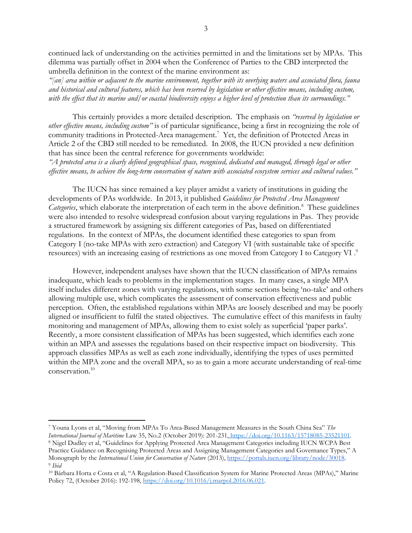continued lack of understanding on the activities permitted in and the limitations set by MPAs. This dilemma was partially offset in 2004 when the Conference of Parties to the CBD interpreted the umbrella definition in the context of the marine environment as:

*"[an] area within or adjacent to the marine environment, together with its overlying waters and associated flora, fauna and historical and cultural features, which has been reserved by legislation or other effective means, including custom,*  with the effect that its marine and/or coastal biodiversity enjoys a higher level of protection than its surroundings."

This certainly provides a more detailed description. The emphasis on *"reserved by legislation or other effective means, including custom"* is of particular significance, being a first in recognizing the role of community traditions in Protected-Area management.<sup>7</sup> Yet, the definition of Protected Areas in Article 2 of the CBD still needed to be remediated. In 2008, the IUCN provided a new definition that has since been the central reference for governments worldwide:

*"A protected area is a clearly defined geographical space, recognised, dedicated and managed, through legal or other effective means, to achieve the long-term conservation of nature with associated ecosystem services and cultural values."*

The IUCN has since remained a key player amidst a variety of institutions in guiding the developments of PAs worldwide. In 2013, it published *Guidelines for Protected Area Management*  Categories, which elaborate the interpretation of each term in the above definition.<sup>8</sup> These guidelines were also intended to resolve widespread confusion about varying regulations in Pas. They provide a structured framework by assigning six different categories of Pas, based on differentiated regulations. In the context of MPAs, the document identified these categories to span from Category I (no-take MPAs with zero extraction) and Category VI (with sustainable take of specific resources) with an increasing easing of restrictions as one moved from Category I to Category VI.<sup>9</sup>

However, independent analyses have shown that the IUCN classification of MPAs remains inadequate, which leads to problems in the implementation stages. In many cases, a single MPA itself includes different zones with varying regulations, with some sections being 'no-take' and others allowing multiple use, which complicates the assessment of conservation effectiveness and public perception. Often, the established regulations within MPAs are loosely described and may be poorly aligned or insufficient to fulfil the stated objectives. The cumulative effect of this manifests in faulty monitoring and management of MPAs, allowing them to exist solely as superficial 'paper parks'. Recently, a more consistent classification of MPAs has been suggested, which identifies each zone within an MPA and assesses the regulations based on their respective impact on biodiversity. This approach classifies MPAs as well as each zone individually, identifying the types of uses permitted within the MPA zone and the overall MPA, so as to gain a more accurate understanding of real-time conservation.<sup>10</sup>

<sup>7</sup> Youna Lyons et al, "Moving from MPAs To Area-Based Management Measures in the South China Sea" *The International Journal of Maritime* Law 35, No.2 (October 2019): 201-231, [https://doi.org/10.1163/15718085-23521101.](https://doi.org/10.1163/15718085-23521101) <sup>8</sup> Nigel Dudley et al, "Guidelines for Applying Protected Area Management Categories including IUCN WCPA Best Practice Guidance on Recognising Protected Areas and Assigning Management Categories and Governance Types," A Monograph by the *International Union for Conservation of Nature* (2013)[, https://portals.iucn.org/library/node/30018.](https://portals.iucn.org/library/node/30018) 9 *Ibid*

<sup>10</sup> Bárbara Horta e Costa et al, "A Regulation-Based Classification System for Marine Protected Areas (MPAs)," Marine Policy 72, (October 2016): 192-198[, https://doi.org/10.1016/j.marpol.2016.06.021.](https://doi.org/10.1016/j.marpol.2016.06.021)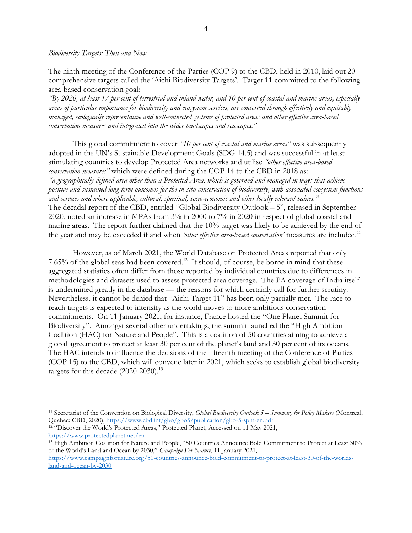#### *Biodiversity Targets: Then and Now*

The ninth meeting of the Conference of the Parties (COP 9) to the CBD, held in 2010, laid out 20 comprehensive targets called the 'Aichi Biodiversity Targets'. Target 11 committed to the following area-based conservation goal:

*"By 2020, at least 17 per cent of terrestrial and inland water, and 10 per cent of coastal and marine areas, especially areas of particular importance for biodiversity and ecosystem services, are conserved through effectively and equitably managed, ecologically representative and well-connected systems of protected areas and other effective area-based conservation measures and integrated into the wider landscapes and seascapes."*

This global commitment to cover *"10 per cent of coastal and marine areas"* was subsequently adopted in the UN's Sustainable Development Goals (SDG 14.5) and was successful in at least stimulating countries to develop Protected Area networks and utilise *"other effective area-based conservation measures"* which were defined during the COP 14 to the CBD in 2018 as: *"a geographically defined area other than a Protected Area, which is governed and managed in ways that achieve positive and sustained long-term outcomes for the in-situ conservation of biodiversity, with associated ecosystem functions and services and where applicable, cultural, spiritual, socio-economic and other locally relevant values."* The decadal report of the CBD, entitled "Global Biodiversity Outlook – 5", released in September 2020, noted an increase in MPAs from 3% in 2000 to 7% in 2020 in respect of global coastal and marine areas. The report further claimed that the 10% target was likely to be achieved by the end of the year and may be exceeded if and when *'other effective area-based conservation'* measures are included.<sup>11</sup>

However, as of March 2021, the World Database on Protected Areas reported that only  $7.65\%$  of the global seas had been covered.<sup>12</sup> It should, of course, be borne in mind that these aggregated statistics often differ from those reported by individual countries due to differences in methodologies and datasets used to assess protected area coverage. The PA coverage of India itself is undermined greatly in the database — the reasons for which certainly call for further scrutiny. Nevertheless, it cannot be denied that "Aichi Target 11" has been only partially met. The race to reach targets is expected to intensify as the world moves to more ambitious conservation commitments. On 11 January 2021, for instance, France hosted the "One Planet Summit for Biodiversity". Amongst several other undertakings, the summit launched the "High Ambition Coalition (HAC) for Nature and People". This is a coalition of 50 countries aiming to achieve a global agreement to protect at least 30 per cent of the planet's land and 30 per cent of its oceans. The HAC intends to influence the decisions of the fifteenth meeting of the Conference of Parties (COP 15) to the CBD, which will convene later in 2021, which seeks to establish global biodiversity targets for this decade  $(2020-2030).$ <sup>13</sup>

<sup>11</sup> Secretariat of the Convention on Biological Diversity, *Global Biodiversity Outlook 5 – Summary for Policy Makers* (Montreal, Quebec: CBD, 2020),<https://www.cbd.int/gbo/gbo5/publication/gbo-5-spm-en.pdf>

<sup>12</sup> "Discover the World's Protected Areas," Protected Planet, Accessed on 11 May 2021, <https://www.protectedplanet.net/en>

<sup>13</sup> High Ambition Coalition for Nature and People, "50 Countries Announce Bold Commitment to Protect at Least 30% of the World's Land and Ocean by 2030," *Campaign For Nature*, 11 January 202[1,](https://www.campaignfornature.org/50-countries-announce-bold-commitment-to-protect-at-least-30-of-the-worlds-land-and-ocean-by-2030)

[https://www.campaignfornature.org/50-countries-announce-bold-commitment-to-protect-at-least-30-of-the-worlds](https://www.campaignfornature.org/50-countries-announce-bold-commitment-to-protect-at-least-30-of-the-worlds-land-and-ocean-by-2030)[land-and-ocean-by-2030](https://www.campaignfornature.org/50-countries-announce-bold-commitment-to-protect-at-least-30-of-the-worlds-land-and-ocean-by-2030)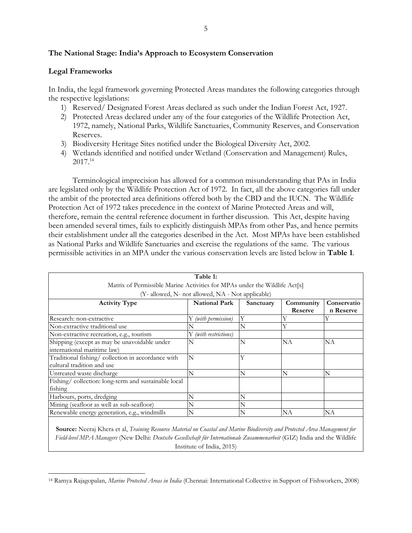# **The National Stage: India's Approach to Ecosystem Conservation**

## **Legal Frameworks**

In India, the legal framework governing Protected Areas mandates the following categories through the respective legislations:

- 1) Reserved/ Designated Forest Areas declared as such under the Indian Forest Act, 1927.
- 2) Protected Areas declared under any of the four categories of the Wildlife Protection Act, 1972, namely, National Parks, Wildlife Sanctuaries, Community Reserves, and Conservation Reserves.
- 3) Biodiversity Heritage Sites notified under the Biological Diversity Act, 2002.
- 4) Wetlands identified and notified under Wetland (Conservation and Management) Rules, 2017.<sup>14</sup>

Terminological imprecision has allowed for a common misunderstanding that PAs in India are legislated only by the Wildlife Protection Act of 1972. In fact, all the above categories fall under the ambit of the protected area definitions offered both by the CBD and the IUCN. The Wildlife Protection Act of 1972 takes precedence in the context of Marine Protected Areas and will, therefore, remain the central reference document in further discussion. This Act, despite having been amended several times, fails to explicitly distinguish MPAs from other Pas, and hence permits their establishment under all the categories described in the Act. Most MPAs have been established as National Parks and Wildlife Sanctuaries and exercise the regulations of the same. The various permissible activities in an MPA under the various conservation levels are listed below in **Table 1**.

|                                                                            | Table 1:              |           |           |             |  |  |
|----------------------------------------------------------------------------|-----------------------|-----------|-----------|-------------|--|--|
| Matrix of Permissible Marine Activities for MPAs under the Wildlife Act[x] |                       |           |           |             |  |  |
| (Y- allowed, N- not allowed, NA - Not applicable)                          |                       |           |           |             |  |  |
| <b>Activity Type</b>                                                       | <b>National Park</b>  | Sanctuary | Community | Conservatio |  |  |
|                                                                            |                       |           | Reserve   | n Reserve   |  |  |
| Research: non-extractive                                                   | Y (with permission)   | Y         |           |             |  |  |
| Non-extractive traditional use                                             |                       | N         | Y         |             |  |  |
| Non-extractive recreation, e.g., tourism                                   | Y (with restrictions) |           |           |             |  |  |
| Shipping (except as may be unavoidable under                               | N                     | N         | NΑ        | <b>NA</b>   |  |  |
| international maritime law)                                                |                       |           |           |             |  |  |
| Traditional fishing/ collection in accordance with                         | N                     | Y         |           |             |  |  |
| cultural tradition and use                                                 |                       |           |           |             |  |  |
| Untreated waste discharge                                                  | N                     | N         | N         | N           |  |  |
| Fishing/collection: long-term and sustainable local                        |                       |           |           |             |  |  |
| fishing                                                                    |                       |           |           |             |  |  |
| Harbours, ports, dredging                                                  |                       | N         |           |             |  |  |
| Mining (seafloor as well as sub-seafloor)                                  |                       | N         |           |             |  |  |
| Renewable energy generation, e.g., windmills                               | N                     | N         | NA        | <b>NA</b>   |  |  |
|                                                                            |                       |           |           |             |  |  |

**Source:** Neeraj Khera et al, *Training Resource Material on Coastal and Marine Biodiversity and Protected Area Management for Field-level MPA Managers* (New Delhi: *Deutsche Gesellschaft für Internationale Zusammenarbeit* (GIZ) India and the Wildlife Institute of India, 2015)

<sup>14</sup> Ramya Rajagopalan, *Marine Protected Areas in India* (Chennai: International Collective in Support of Fishworkers, 2008)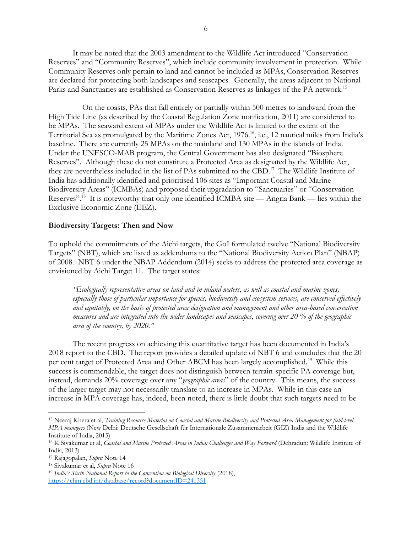It may be noted that the 2003 amendment to the Wildlife Act introduced "Conservation Reserves" and "Community Reserves", which include community involvement in protection. While Community Reserves only pertain to land and cannot be included as MPAs, Conservation Reserves are declared for protecting both landscapes and seascapes. Generally, the areas adjacent to National Parks and Sanctuaries are established as Conservation Reserves as linkages of the PA network.<sup>15</sup>

On the coasts, PAs that fall entirely or partially within 500 metres to landward from the High Tide Line (as described by the Coastal Regulation Zone notification, 2011) are considered to be MPAs. The seaward extent of MPAs under the Wildlife Act is limited to the extent of the Territorial Sea as promulgated by the Maritime Zones Act, 1976.<sup>16</sup>, i.e., 12 nautical miles from India's baseline. There are currently 25 MPAs on the mainland and 130 MPAs in the islands of India. Under the UNESCO-MAB program, the Central Government has also designated "Biosphere Reserves". Although these do not constitute a Protected Area as designated by the Wildlife Act, they are nevertheless included in the list of PAs submitted to the CBD.<sup>17</sup> The Wildlife Institute of India has additionally identified and prioritised 106 sites as "Important Coastal and Marine Biodiversity Areas" (ICMBAs) and proposed their upgradation to "Sanctuaries" or "Conservation Reserves".<sup>18</sup> It is noteworthy that only one identified ICMBA site — Angria Bank — lies within the Exclusive Economic Zone (EEZ).

#### **Biodiversity Targets: Then and Now**

To uphold the commitments of the Aichi targets, the GoI formulated twelve "National Biodiversity Targets" (NBT), which are listed as addendums to the "National Biodiversity Action Plan" (NBAP) of 2008. NBT 6 under the NBAP Addendum (2014) seeks to address the protected area coverage as envisioned by Aichi Target 11. The target states:

*"Ecologically representative areas on land and in inland waters, as well as coastal and marine zones, especially those of particular importance for species, biodiversity and ecosystem services, are conserved effectively and equitably, on the basis of protected area designation and management and other area-based conservation measures and are integrated into the wider landscapes and seascapes, covering over 20 % of the geographic area of the country, by 2020."*

The recent progress on achieving this quantitative target has been documented in India's 2018 report to the CBD. The report provides a detailed update of NBT 6 and concludes that the 20 per cent target of Protected Area and Other ABCM has been largely accomplished.<sup>19</sup> While this success is commendable, the target does not distinguish between terrain-specific PA coverage but, instead, demands 20% coverage over any "*geographic areas*" of the country. This means, the success of the larger target may not necessarily translate to an increase in MPAs. While in this case an increase in MPA coverage has, indeed, been noted, there is little doubt that such targets need to be

<sup>15</sup> Neeraj Khera et al, *Training Resource Material on Coastal and Marine Biodiversity and Protected Area Management for field-level MPA managers* (New Delhi: Deutsche Gesellschaft für Internationale Zusammenarbeit (GIZ) India and the Wildlife Institute of India, 2015)

<sup>16</sup> K Sivakumar et al, *Coastal and Marine Protected Areas in India: Challenges and Way Forward* (Dehradun: Wildlife Institute of India, 2013)

<sup>17</sup> Rajagopalan, *Supra* Note 14

<sup>18</sup> Sivakumar et al, *Supra* Note 16

<sup>19</sup> *India's Sixth National Report to the Convention on Biological Diversity* (2018), <https://chm.cbd.int/database/record?documentID=241351>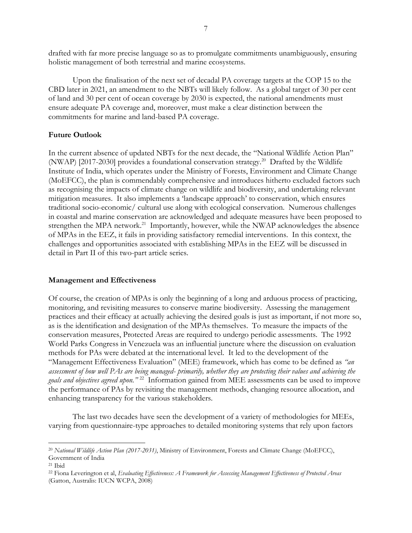drafted with far more precise language so as to promulgate commitments unambiguously, ensuring holistic management of both terrestrial and marine ecosystems.

Upon the finalisation of the next set of decadal PA coverage targets at the COP 15 to the CBD later in 2021, an amendment to the NBTs will likely follow. As a global target of 30 per cent of land and 30 per cent of ocean coverage by 2030 is expected, the national amendments must ensure adequate PA coverage and, moreover, must make a clear distinction between the commitments for marine and land-based PA coverage.

# **Future Outlook**

In the current absence of updated NBTs for the next decade, the "National Wildlife Action Plan" (NWAP) [2017-2030] provides a foundational conservation strategy.<sup>20</sup> Drafted by the Wildlife Institute of India, which operates under the Ministry of Forests, Environment and Climate Change (MoEFCC), the plan is commendably comprehensive and introduces hitherto excluded factors such as recognising the impacts of climate change on wildlife and biodiversity, and undertaking relevant mitigation measures. It also implements a 'landscape approach' to conservation, which ensures traditional socio-economic/ cultural use along with ecological conservation. Numerous challenges in coastal and marine conservation are acknowledged and adequate measures have been proposed to strengthen the MPA network.<sup>21</sup> Importantly, however, while the NWAP acknowledges the absence of MPAs in the EEZ, it fails in providing satisfactory remedial interventions. In this context, the challenges and opportunities associated with establishing MPAs in the EEZ will be discussed in detail in Part II of this two-part article series.

### **Management and Effectiveness**

Of course, the creation of MPAs is only the beginning of a long and arduous process of practicing, monitoring, and revisiting measures to conserve marine biodiversity. Assessing the management practices and their efficacy at actually achieving the desired goals is just as important, if not more so, as is the identification and designation of the MPAs themselves. To measure the impacts of the conservation measures, Protected Areas are required to undergo periodic assessments. The 1992 World Parks Congress in Venezuela was an influential juncture where the discussion on evaluation methods for PAs were debated at the international level. It led to the development of the "Management Effectiveness Evaluation" (MEE) framework, which has come to be defined as *"an assessment of how well PAs are being managed- primarily, whether they are protecting their values and achieving the goals and objectives agreed upon."* <sup>22</sup> Information gained from MEE assessments can be used to improve the performance of PAs by revisiting the management methods, changing resource allocation, and enhancing transparency for the various stakeholders.

The last two decades have seen the development of a variety of methodologies for MEEs, varying from questionnaire-type approaches to detailed monitoring systems that rely upon factors

<sup>20</sup> *National Wildlife Action Plan (2017-2031)*, Ministry of Environment, Forests and Climate Change (MoEFCC), Government of India

<sup>21</sup> Ibid

<sup>22</sup> Fiona Leverington et al, *Evaluating Effectiveness: A Framework for Assessing Management Effectiveness of Protected Areas* (Gatton, Australis: IUCN WCPA, 2008)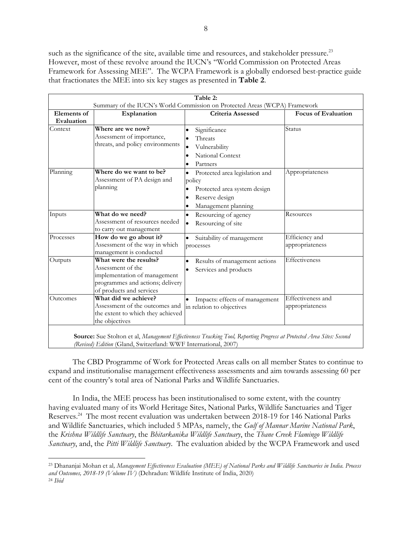such as the significance of the site, available time and resources, and stakeholder pressure.<sup>23</sup> However, most of these revolve around the IUCN's "World Commission on Protected Areas Framework for Assessing MEE". The WCPA Framework is a globally endorsed best-practice guide that fractionates the MEE into six key stages as presented in **Table 2**.

| <b>Elements</b> of<br>Evaluation<br>Context | Explanation                                                                                                                                 | Summary of the IUCN's World Commission on Protected Areas (WCPA) Framework<br>Criteria Assessed                                | <b>Focus of Evaluation</b>           |  |
|---------------------------------------------|---------------------------------------------------------------------------------------------------------------------------------------------|--------------------------------------------------------------------------------------------------------------------------------|--------------------------------------|--|
|                                             |                                                                                                                                             |                                                                                                                                |                                      |  |
|                                             |                                                                                                                                             |                                                                                                                                |                                      |  |
|                                             | Where are we now?<br>Assessment of importance,<br>threats, and policy environments                                                          | Significance<br>$\bullet$<br>Threats<br>Vulnerability<br>$\bullet$<br>National Context<br>Partners                             | Status                               |  |
| Planning<br>planning                        | Where do we want to be?<br>Assessment of PA design and                                                                                      | Protected area legislation and<br>policy<br>Protected area system design<br>Reserve design<br>$\bullet$<br>Management planning | Appropriateness                      |  |
| Inputs                                      | What do we need?<br>Assessment of resources needed<br>to carry out management                                                               | Resourcing of agency<br>٠<br>Resourcing of site<br>$\bullet$                                                                   | Resources                            |  |
| Processes                                   | How do we go about it?<br>Assessment of the way in which<br>management is conducted                                                         | Suitability of management<br>$\bullet$<br>processes                                                                            | Efficiency and<br>appropriateness    |  |
| Outputs                                     | What were the results?<br>Assessment of the<br>implementation of management<br>programmes and actions; delivery<br>of products and services | Results of management actions<br>$\bullet$<br>Services and products                                                            | Effectiveness                        |  |
| Outcomes                                    | What did we achieve?<br>Assessment of the outcomes and<br>the extent to which they achieved<br>the objectives                               | Impacts: effects of management<br>$\bullet$<br>in relation to objectives                                                       | Effectiveness and<br>appropriateness |  |

The CBD Programme of Work for Protected Areas calls on all member States to continue to expand and institutionalise management effectiveness assessments and aim towards assessing 60 per cent of the country's total area of National Parks and Wildlife Sanctuaries.

In India, the MEE process has been institutionalised to some extent, with the country having evaluated many of its World Heritage Sites, National Parks, Wildlife Sanctuaries and Tiger Reserves.<sup>24</sup> The most recent evaluation was undertaken between 2018-19 for 146 National Parks and Wildlife Sanctuaries, which included 5 MPAs, namely, the *Gulf of Mannar Marine National Park*, the *Krishna Wildlife Sanctuary*, the *Bhitarkanika Wildlife Sanctuary*, the *Thane Creek Flamingo Wildlife Sanctuary*, and, the *Pitti Wildlife Sanctuary*. The evaluation abided by the WCPA Framework and used

<sup>23</sup> Dhananjai Mohan et al*, Management Effectiveness Evaluation (MEE) of National Parks and Wildlife Sanctuaries in India. Process and Outcomes, 2018-19 (Volume IV)* (Dehradun: Wildlife Institute of India, 2020) <sup>24</sup> *Ibid*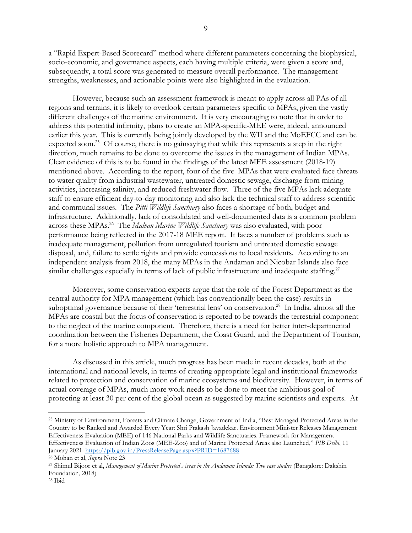a "Rapid Expert-Based Scorecard" method where different parameters concerning the biophysical, socio-economic, and governance aspects, each having multiple criteria, were given a score and, subsequently, a total score was generated to measure overall performance. The management strengths, weaknesses, and actionable points were also highlighted in the evaluation.

However, because such an assessment framework is meant to apply across all PAs of all regions and terrains, it is likely to overlook certain parameters specific to MPAs, given the vastly different challenges of the marine environment. It is very encouraging to note that in order to address this potential infirmity, plans to create an MPA-specific-MEE were, indeed, announced earlier this year. This is currently being jointly developed by the WII and the MoEFCC and can be expected soon.<sup>25</sup> Of course, there is no gainsaying that while this represents a step in the right direction, much remains to be done to overcome the issues in the management of Indian MPAs. Clear evidence of this is to be found in the findings of the latest MEE assessment (2018-19) mentioned above. According to the report, four of the five MPAs that were evaluated face threats to water quality from industrial wastewater, untreated domestic sewage, discharge from mining activities, increasing salinity, and reduced freshwater flow. Three of the five MPAs lack adequate staff to ensure efficient day-to-day monitoring and also lack the technical staff to address scientific and communal issues. The *Pitti Wildlife Sanctuary* also faces a shortage of both, budget and infrastructure. Additionally, lack of consolidated and well-documented data is a common problem across these MPAs.<sup>26</sup> The *Malvan Marine Wildlife Sanctuary* was also evaluated, with poor performance being reflected in the 2017-18 MEE report. It faces a number of problems such as inadequate management, pollution from unregulated tourism and untreated domestic sewage disposal, and, failure to settle rights and provide concessions to local residents. According to an independent analysis from 2018, the many MPAs in the Andaman and Nicobar Islands also face similar challenges especially in terms of lack of public infrastructure and inadequate staffing.<sup>27</sup>

Moreover, some conservation experts argue that the role of the Forest Department as the central authority for MPA management (which has conventionally been the case) results in suboptimal governance because of their 'terrestrial lens' on conservation.<sup>28</sup> In India, almost all the MPAs are coastal but the focus of conservation is reported to be towards the terrestrial component to the neglect of the marine component. Therefore, there is a need for better inter-departmental coordination between the Fisheries Department, the Coast Guard, and the Department of Tourism, for a more holistic approach to MPA management.

As discussed in this article, much progress has been made in recent decades, both at the international and national levels, in terms of creating appropriate legal and institutional frameworks related to protection and conservation of marine ecosystems and biodiversity. However, in terms of actual coverage of MPAs, much more work needs to be done to meet the ambitious goal of protecting at least 30 per cent of the global ocean as suggested by marine scientists and experts. At

<sup>25</sup> Ministry of Environment, Forests and Climate Change, Government of India, "Best Managed Protected Areas in the Country to be Ranked and Awarded Every Year: Shri Prakash Javadekar. Environment Minister Releases Management Effectiveness Evaluation (MEE) of 146 National Parks and Wildlife Sanctuaries. Framework for Management Effectiveness Evaluation of Indian Zoos (MEE-Zoo) and of Marine Protected Areas also Launched," *PIB Delhi*, 11 January 2021.<https://pib.gov.in/PressReleasePage.aspx?PRID=1687688>

<sup>26</sup> Mohan et al, *Supra* Note 23

<sup>27</sup> Shimul Bijoor et al, *Management of Marine Protected Areas in the Andaman Islands: Two case studies* (Bangalore: Dakshin Foundation, 2018)

<sup>28</sup> Ibid